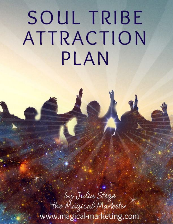# SOUL TRIBE ATTRACTION PLAN

by Julia Stege<br>the Magical Marketer www.magical-marketing.com.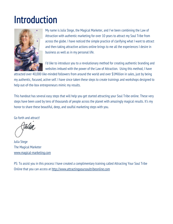## Introduction



My name is Julia Stege, the Magical Marketer, and I've been combining the Law of Attraction with authentic marketing for over 10 years to attract my Soul Tribe from across the globe. I have noticed the simple practice of clarifying what I want to attract and then taking attractive actions online brings to me all the experiences I desire in business as well as in my personal life.

I'd like to introduce you to a revolutionary method for creating authentic branding and websites imbued with the power of the Law of Attraction. Using this method, I have

attracted over 40,000 like-minded followers from around the world and over \$1Million in sales, just by being my authentic, focused, active self. I have since taken these steps to create trainings and workshops designed to help out-of-the-box entrepreneurs mimic my results.

This handout has several easy steps that will help you get started attracting your Soul Tribe online. These very steps have been used by tens of thousands of people across the planet with amazingly magical results. It's my honor to share these beautiful, deep, and soulful marketing steps with you.

Go forth and attract!

Julia Stege The Magical Marketer www.magical-marketing.com

PS: To assist you in this process I have created a complimentary training called Attracting Your Soul Tribe Online that you can access at http://www.attractingyoursoultribeonline.com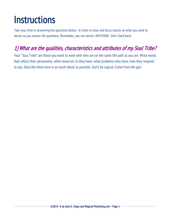## **Instructions**

Take your time in answering the questions below. It's best to relax and focus clearly on what you want to attract as you answer the questions. Remember, you can attract ANYTHING. Don't hold back!

#### 1) What are the qualities, characteristics and attributes of my Soul Tribe?

Your "Soul Tribe" are those you want to work with who are on the same life path as you are. Write words that reflect their personality, what resources to they have, what problems they have, how they respond to you. Describe them here in as much detail as possible. Don't be logical. Come from the gut!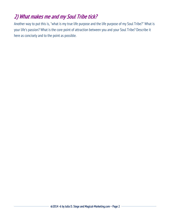#### 2) What makes me and my Soul Tribe tick?

Another way to put this is, "what is my true life purpose and the life purpose of my Soul Tribe?" What is your life's passion? What is the core point of attraction between you and your Soul Tribe? Describe it here as concisely and to the point as possible.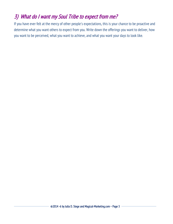#### 3) What do I want my Soul Tribe to expect from me?

If you have ever felt at the mercy of other people's expectations, this is your chance to be proactive and determine what you want others to expect from you. Write down the offerings you want to deliver, how you want to be perceived, what you want to achieve, and what you want your days to look like.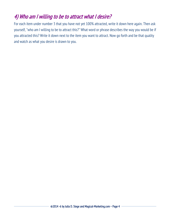#### 4) Who am I willing to be to attract what I desire?

For each item under number 3 that you have not yet 100% attracted, write it down here again. Then ask yourself, "who am I willing to be to attract this?" What word or phrase describes the way you would be if you attracted this? Write it down next to the item you want to attract. Now go forth and be that quality and watch as what you desire is drawn to you.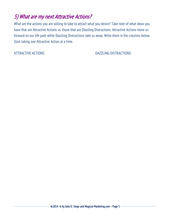#### 5) What are my next Attractive Actions?

What are the actions you are willing to take to attract what you desire? Take note of what ideas you have that are Attractive Actions vs. those that are Dazzling Distractions. Attractive Actions move us forward on our life path while Dazzling Distractions take us away. Write them in the columns below. Start taking one Attractive Action at a time.

ATTRACTIVE ACTIONS AND DAZZLING DISTRACTIONS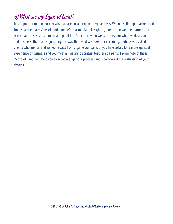#### 6) What are my Signs of Land?

It is important to take note of what we are attracting on a regular basis. When a sailor approaches land from sea, there are signs of land long before actual land is sighted, like certain weather patterns, or particular birds, sea mammals, and plant life. Similarly, when we set course for what we desire in life and business, there are signs along the way that what we asked for is coming. Perhaps you asked for clients who are fun and someone calls from a game company, or you have asked for a more spiritual experience of business and you meet an inspiring spiritual teacher at a party. Taking note of these "Signs of Land" will help you to acknowledge your progress and flow toward the realization of your dreams.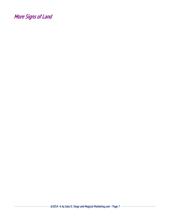More Signs of Land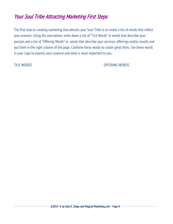#### Your Soul Tribe Attracting Marketing First Steps

The first step to creating marketing that attracts your Soul Tribe is to create a list of words that reflect your essence. Using the area below, write down a list of "Tick Words" ie words that describe your passion and a list of "Offering Words" ie words that describe your services, offerings and/or results and put them in the right column of the page. Combine these words to create great titles. Use these words in your copy to express your essence and what is most important to you.

TICK WORDS OFFERING WORDS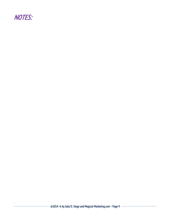